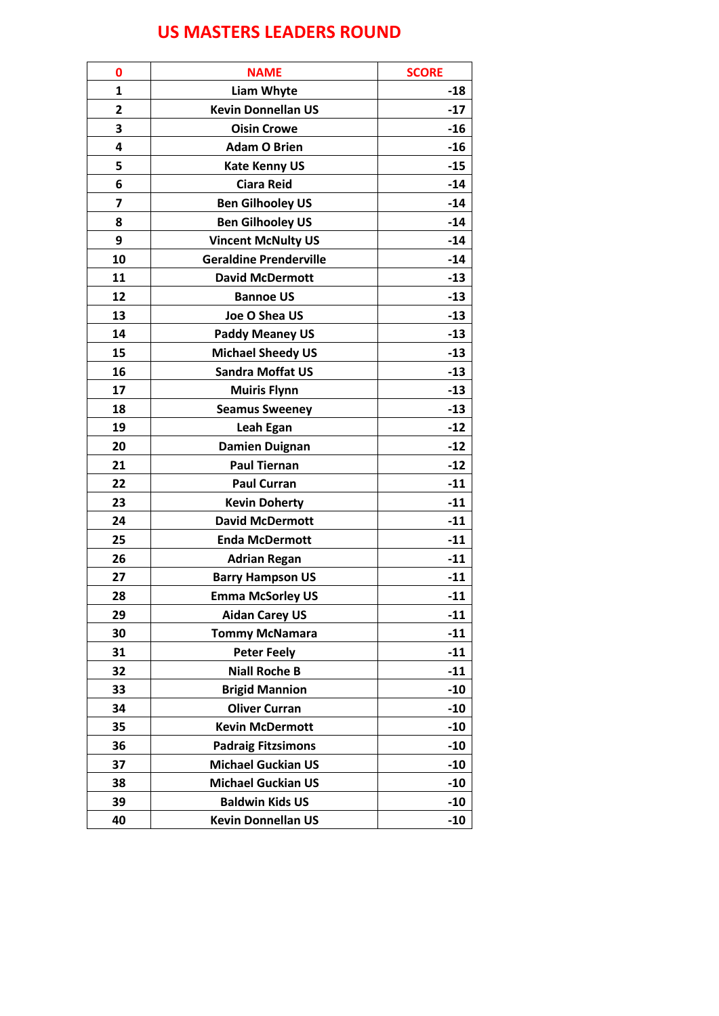## **US MASTERS LEADERS ROUND**

| 0                       | <b>NAME</b>                   | <b>SCORE</b> |
|-------------------------|-------------------------------|--------------|
| $\mathbf{1}$            | <b>Liam Whyte</b>             | $-18$        |
| 2                       | <b>Kevin Donnellan US</b>     | $-17$        |
| 3                       | <b>Oisin Crowe</b>            | $-16$        |
| 4                       | <b>Adam O Brien</b>           | $-16$        |
| 5                       | <b>Kate Kenny US</b>          | $-15$        |
| 6                       | <b>Ciara Reid</b>             | $-14$        |
| $\overline{\mathbf{z}}$ | <b>Ben Gilhooley US</b>       | $-14$        |
| 8                       | <b>Ben Gilhooley US</b>       | $-14$        |
| 9                       | <b>Vincent McNulty US</b>     | $-14$        |
| 10                      | <b>Geraldine Prenderville</b> | $-14$        |
| 11                      | <b>David McDermott</b>        | $-13$        |
| 12                      | <b>Bannoe US</b>              | $-13$        |
| 13                      | Joe O Shea US                 | $-13$        |
| 14                      | <b>Paddy Meaney US</b>        | $-13$        |
| 15                      | <b>Michael Sheedy US</b>      | $-13$        |
| 16                      | <b>Sandra Moffat US</b>       | $-13$        |
| 17                      | <b>Muiris Flynn</b>           | $-13$        |
| 18                      | <b>Seamus Sweeney</b>         | $-13$        |
| 19                      | Leah Egan                     | $-12$        |
| 20                      | <b>Damien Duignan</b>         | $-12$        |
| 21                      | <b>Paul Tiernan</b>           | $-12$        |
| 22                      | <b>Paul Curran</b>            | $-11$        |
| 23                      | <b>Kevin Doherty</b>          | $-11$        |
| 24                      | <b>David McDermott</b>        | $-11$        |
| 25                      | <b>Enda McDermott</b>         | $-11$        |
| 26                      | <b>Adrian Regan</b>           | $-11$        |
| 27                      | <b>Barry Hampson US</b>       | $-11$        |
| 28                      | <b>Emma McSorley US</b>       | $-11$        |
| 29                      | <b>Aidan Carey US</b>         | $-11$        |
| 30                      | <b>Tommy McNamara</b>         | $-11$        |
| 31                      | <b>Peter Feely</b>            | -11          |
| 32                      | <b>Niall Roche B</b>          | $-11$        |
| 33                      | <b>Brigid Mannion</b>         | $-10$        |
| 34                      | <b>Oliver Curran</b>          | -10          |
| 35                      | <b>Kevin McDermott</b>        | $-10$        |
| 36                      | <b>Padraig Fitzsimons</b>     | $-10$        |
| 37                      | <b>Michael Guckian US</b>     | $-10$        |
| 38                      | <b>Michael Guckian US</b>     | -10          |
| 39                      | <b>Baldwin Kids US</b>        | $-10$        |
| 40                      | <b>Kevin Donnellan US</b>     | $-10$        |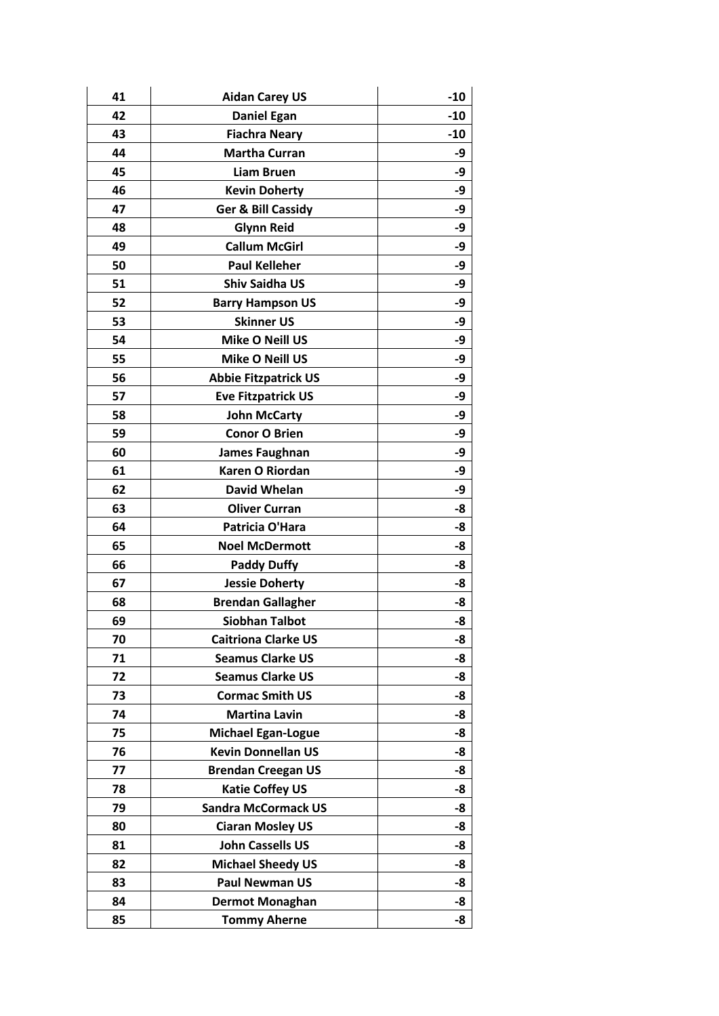| 41 | <b>Aidan Carey US</b>         | $-10$ |
|----|-------------------------------|-------|
| 42 | <b>Daniel Egan</b>            | $-10$ |
| 43 | <b>Fiachra Neary</b>          | $-10$ |
| 44 | <b>Martha Curran</b>          | -9    |
| 45 | <b>Liam Bruen</b>             | -9    |
| 46 | <b>Kevin Doherty</b>          | -9    |
| 47 | <b>Ger &amp; Bill Cassidy</b> | -9    |
| 48 | <b>Glynn Reid</b>             | -9    |
| 49 | <b>Callum McGirl</b>          | -9    |
| 50 | <b>Paul Kelleher</b>          | -9    |
| 51 | <b>Shiv Saidha US</b>         | -9    |
| 52 | <b>Barry Hampson US</b>       | -9    |
| 53 | <b>Skinner US</b>             | -9    |
| 54 | Mike O Neill US               | -9    |
| 55 | Mike O Neill US               | -9    |
| 56 | <b>Abbie Fitzpatrick US</b>   | -9    |
| 57 | <b>Eve Fitzpatrick US</b>     | -9    |
| 58 | <b>John McCarty</b>           | -9    |
| 59 | <b>Conor O Brien</b>          | -9    |
| 60 | <b>James Faughnan</b>         | -9    |
| 61 | Karen O Riordan               | -9    |
| 62 | David Whelan                  | -9    |
| 63 | <b>Oliver Curran</b>          | -8    |
| 64 | Patricia O'Hara               | -8    |
| 65 | <b>Noel McDermott</b>         | -8    |
| 66 | <b>Paddy Duffy</b>            | -8    |
| 67 | <b>Jessie Doherty</b>         | -8    |
| 68 | <b>Brendan Gallagher</b>      | -8    |
| 69 | <b>Siobhan Talbot</b>         | -8    |
| 70 | <b>Caitriona Clarke US</b>    | -8    |
| 71 | <b>Seamus Clarke US</b>       | -8    |
| 72 | <b>Seamus Clarke US</b>       | -8    |
| 73 | <b>Cormac Smith US</b>        | -8    |
| 74 | <b>Martina Lavin</b>          | -8    |
| 75 | <b>Michael Egan-Logue</b>     | -8    |
| 76 | <b>Kevin Donnellan US</b>     | -8    |
| 77 | <b>Brendan Creegan US</b>     | -8    |
| 78 | <b>Katie Coffey US</b>        | -8    |
| 79 | <b>Sandra McCormack US</b>    | -8    |
| 80 | <b>Ciaran Mosley US</b>       | -8    |
| 81 | <b>John Cassells US</b>       | -8    |
| 82 | <b>Michael Sheedy US</b>      | -8    |
| 83 | <b>Paul Newman US</b>         | -8    |
| 84 | <b>Dermot Monaghan</b>        | -8    |
| 85 | <b>Tommy Aherne</b>           | -8    |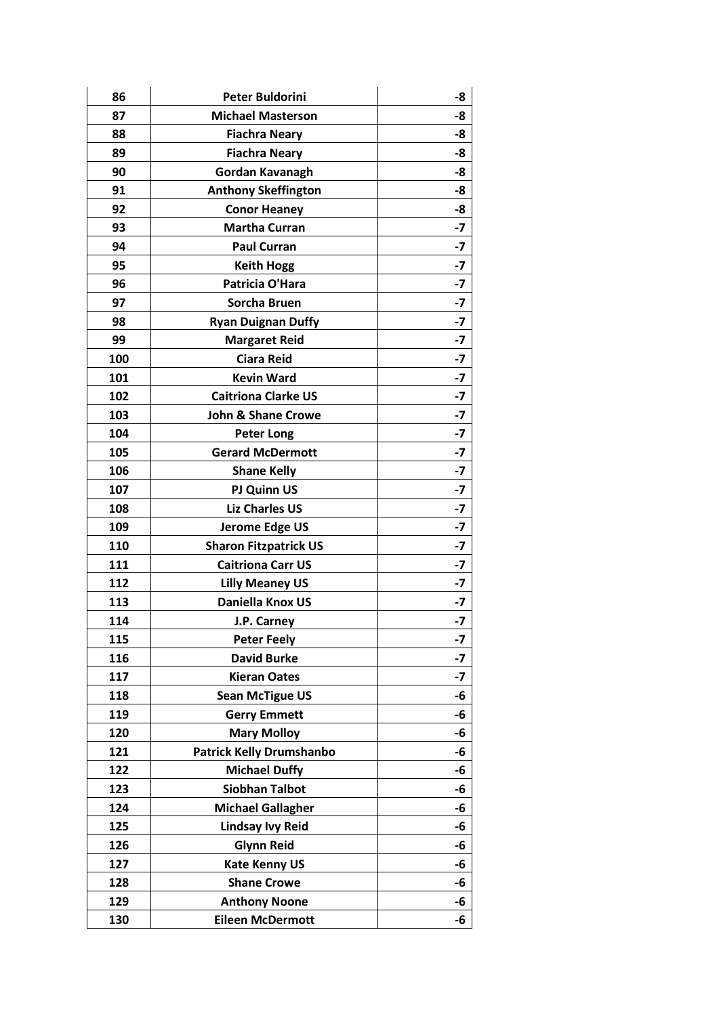| 86  | <b>Peter Buldorini</b>          | -8   |
|-----|---------------------------------|------|
| 87  | <b>Michael Masterson</b>        | -8   |
| 88  | <b>Fiachra Neary</b>            | -8   |
| 89  | <b>Fiachra Neary</b>            | -8   |
| 90  | Gordan Kavanagh                 | -8   |
| 91  | <b>Anthony Skeffington</b>      | -8   |
| 92  | <b>Conor Heaney</b>             | -8   |
| 93  | <b>Martha Curran</b>            | $-7$ |
| 94  | <b>Paul Curran</b>              | -7   |
| 95  | <b>Keith Hogg</b>               | -7   |
| 96  | Patricia O'Hara                 | $-7$ |
| 97  | <b>Sorcha Bruen</b>             | $-7$ |
| 98  | <b>Ryan Duignan Duffy</b>       | $-7$ |
| 99  | <b>Margaret Reid</b>            | $-7$ |
| 100 | <b>Ciara Reid</b>               | $-7$ |
| 101 | <b>Kevin Ward</b>               | $-7$ |
| 102 | <b>Caitriona Clarke US</b>      | $-7$ |
| 103 | <b>John &amp; Shane Crowe</b>   | -7   |
| 104 | <b>Peter Long</b>               | $-7$ |
| 105 | <b>Gerard McDermott</b>         | $-7$ |
| 106 | <b>Shane Kelly</b>              | $-7$ |
| 107 | PJ Quinn US                     | $-7$ |
| 108 | <b>Liz Charles US</b>           | $-7$ |
| 109 | Jerome Edge US                  | $-7$ |
| 110 | <b>Sharon Fitzpatrick US</b>    | $-7$ |
| 111 | <b>Caitriona Carr US</b>        | $-7$ |
| 112 | <b>Lilly Meaney US</b>          | $-7$ |
| 113 | Daniella Knox US                | $-7$ |
| 114 | J.P. Carney                     | $-7$ |
| 115 | <b>Peter Feely</b>              | -7   |
| 116 | <b>David Burke</b>              | $-7$ |
| 117 | <b>Kieran Oates</b>             | -7   |
| 118 | <b>Sean McTigue US</b>          | -6   |
| 119 | <b>Gerry Emmett</b>             | -6   |
| 120 | <b>Mary Molloy</b>              | -6   |
| 121 | <b>Patrick Kelly Drumshanbo</b> | -6   |
| 122 | <b>Michael Duffy</b>            | -6   |
| 123 | <b>Siobhan Talbot</b>           | -6   |
| 124 | <b>Michael Gallagher</b>        | -6   |
| 125 | <b>Lindsay Ivy Reid</b>         | -6   |
| 126 | <b>Glynn Reid</b>               | -6   |
| 127 | <b>Kate Kenny US</b>            | -6   |
| 128 | <b>Shane Crowe</b>              | -6   |
| 129 | <b>Anthony Noone</b>            | -6   |
| 130 | <b>Eileen McDermott</b>         | -6   |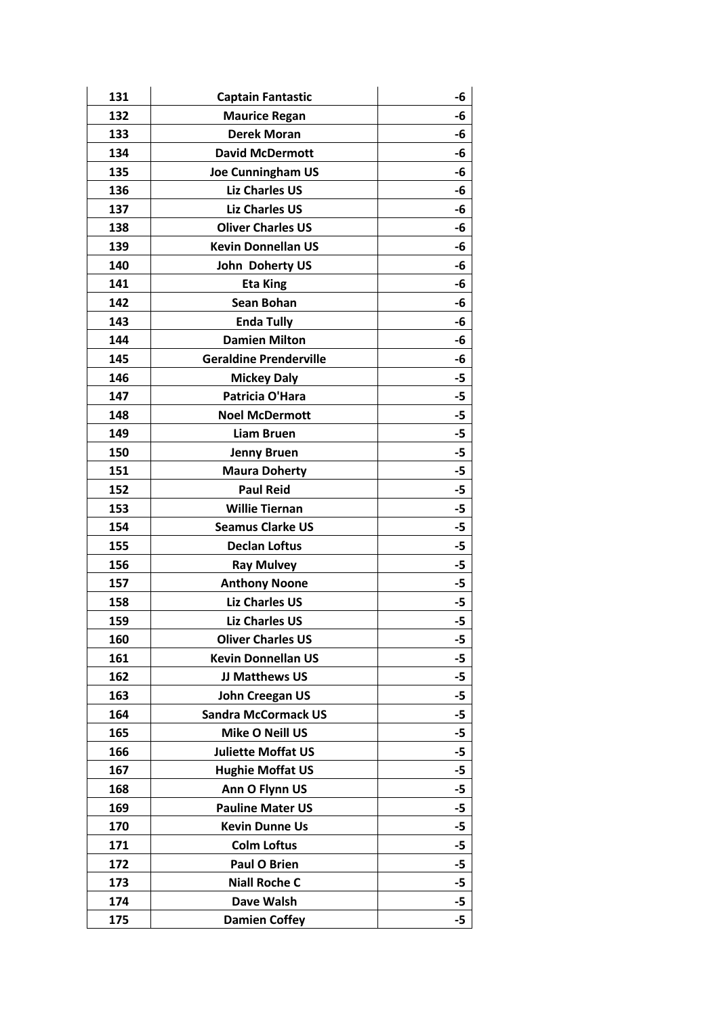| 131 | <b>Captain Fantastic</b>      | -6   |
|-----|-------------------------------|------|
| 132 | <b>Maurice Regan</b>          | -6   |
| 133 | <b>Derek Moran</b>            | -6   |
| 134 | <b>David McDermott</b>        | -6   |
| 135 | <b>Joe Cunningham US</b>      | -6   |
| 136 | <b>Liz Charles US</b>         | -6   |
| 137 | <b>Liz Charles US</b>         | -6   |
| 138 | <b>Oliver Charles US</b>      | -6   |
| 139 | <b>Kevin Donnellan US</b>     | -6   |
| 140 | John Doherty US               | -6   |
| 141 | <b>Eta King</b>               | -6   |
| 142 | <b>Sean Bohan</b>             | -6   |
| 143 | <b>Enda Tully</b>             | -6   |
| 144 | <b>Damien Milton</b>          | -6   |
| 145 | <b>Geraldine Prenderville</b> | -6   |
| 146 | <b>Mickey Daly</b>            | -5   |
| 147 | Patricia O'Hara               | -5   |
| 148 | <b>Noel McDermott</b>         | -5   |
| 149 | <b>Liam Bruen</b>             | $-5$ |
| 150 | <b>Jenny Bruen</b>            | -5   |
| 151 | <b>Maura Doherty</b>          | -5   |
| 152 | <b>Paul Reid</b>              | $-5$ |
| 153 | <b>Willie Tiernan</b>         | -5   |
| 154 | <b>Seamus Clarke US</b>       | -5   |
| 155 | <b>Declan Loftus</b>          | -5   |
| 156 | <b>Ray Mulvey</b>             | -5   |
| 157 | <b>Anthony Noone</b>          | -5   |
| 158 | <b>Liz Charles US</b>         | -5   |
| 159 | <b>Liz Charles US</b>         | -5   |
| 160 | <b>Oliver Charles US</b>      | -5   |
| 161 | <b>Kevin Donnellan US</b>     | -5   |
| 162 | JJ Matthews US                | -5   |
| 163 | <b>John Creegan US</b>        | -5   |
| 164 | <b>Sandra McCormack US</b>    | $-5$ |
| 165 | <b>Mike O Neill US</b>        | -5   |
| 166 | <b>Juliette Moffat US</b>     | -5   |
| 167 | <b>Hughie Moffat US</b>       | -5   |
| 168 | Ann O Flynn US                | -5   |
| 169 | <b>Pauline Mater US</b>       | -5   |
| 170 | <b>Kevin Dunne Us</b>         | -5   |
| 171 | <b>Colm Loftus</b>            | -5   |
| 172 | Paul O Brien                  | -5   |
| 173 | <b>Niall Roche C</b>          | -5   |
| 174 | Dave Walsh                    | -5   |
| 175 | <b>Damien Coffey</b>          | $-5$ |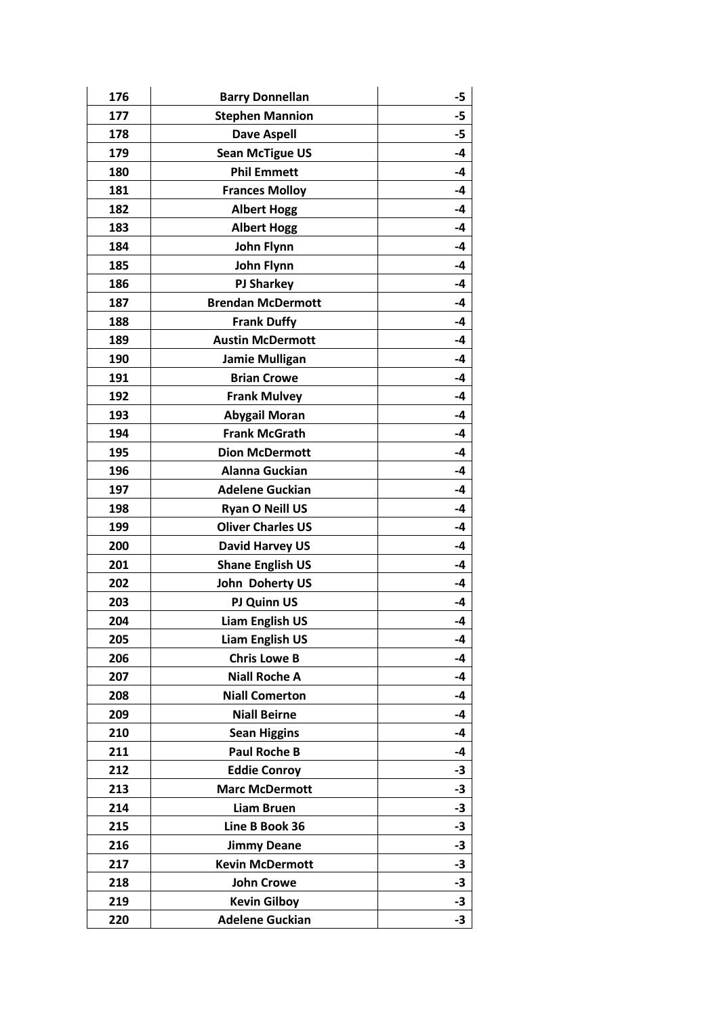| 176 | <b>Barry Donnellan</b>   | -5   |
|-----|--------------------------|------|
| 177 | <b>Stephen Mannion</b>   | -5   |
| 178 | <b>Dave Aspell</b>       | -5   |
| 179 | <b>Sean McTigue US</b>   | $-4$ |
| 180 | <b>Phil Emmett</b>       | -4   |
| 181 | <b>Frances Molloy</b>    | -4   |
| 182 | <b>Albert Hogg</b>       | -4   |
| 183 | <b>Albert Hogg</b>       | -4   |
| 184 | John Flynn               | $-4$ |
| 185 | John Flynn               | -4   |
| 186 | <b>PJ Sharkey</b>        | $-4$ |
| 187 | <b>Brendan McDermott</b> | $-4$ |
| 188 | <b>Frank Duffy</b>       | -4   |
| 189 | <b>Austin McDermott</b>  | -4   |
| 190 | <b>Jamie Mulligan</b>    | -4   |
| 191 | <b>Brian Crowe</b>       | -4   |
| 192 | <b>Frank Mulvey</b>      | -4   |
| 193 | <b>Abygail Moran</b>     | -4   |
| 194 | <b>Frank McGrath</b>     | -4   |
| 195 | <b>Dion McDermott</b>    | -4   |
| 196 | <b>Alanna Guckian</b>    | -4   |
| 197 | <b>Adelene Guckian</b>   | -4   |
| 198 | <b>Ryan O Neill US</b>   | $-4$ |
| 199 | <b>Oliver Charles US</b> | $-4$ |
| 200 | <b>David Harvey US</b>   | -4   |
| 201 | <b>Shane English US</b>  | -4   |
| 202 | John Doherty US          | -4   |
| 203 | <b>PJ Quinn US</b>       | -4   |
| 204 | <b>Liam English US</b>   | $-4$ |
| 205 | <b>Liam English US</b>   | -4   |
| 206 | <b>Chris Lowe B</b>      | -4   |
| 207 | <b>Niall Roche A</b>     | -4   |
| 208 | <b>Niall Comerton</b>    | -4   |
| 209 | <b>Niall Beirne</b>      | -4   |
| 210 | <b>Sean Higgins</b>      | -4   |
| 211 | <b>Paul Roche B</b>      | -4   |
| 212 | <b>Eddie Conroy</b>      | -3   |
| 213 | <b>Marc McDermott</b>    | -3   |
| 214 | <b>Liam Bruen</b>        | $-3$ |
| 215 | Line B Book 36           | -3   |
| 216 | <b>Jimmy Deane</b>       | -3   |
| 217 | <b>Kevin McDermott</b>   | -3   |
| 218 | <b>John Crowe</b>        | -3   |
| 219 | <b>Kevin Gilboy</b>      | -3   |
| 220 | <b>Adelene Guckian</b>   | $-3$ |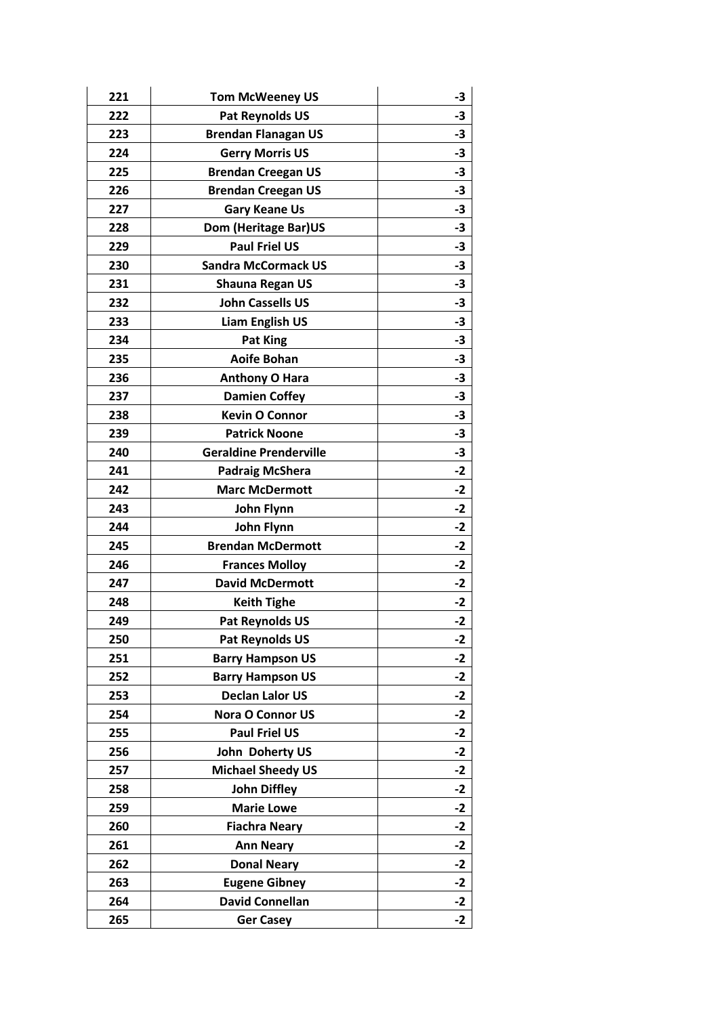| 221 | <b>Tom McWeeney US</b>        | -3   |
|-----|-------------------------------|------|
| 222 | Pat Reynolds US               | -3   |
| 223 | <b>Brendan Flanagan US</b>    | -3   |
| 224 | <b>Gerry Morris US</b>        | -3   |
| 225 | <b>Brendan Creegan US</b>     | $-3$ |
| 226 | <b>Brendan Creegan US</b>     | $-3$ |
| 227 | <b>Gary Keane Us</b>          | $-3$ |
| 228 | Dom (Heritage Bar)US          | -3   |
| 229 | <b>Paul Friel US</b>          | -3   |
| 230 | <b>Sandra McCormack US</b>    | -3   |
| 231 | <b>Shauna Regan US</b>        | -3   |
| 232 | <b>John Cassells US</b>       | $-3$ |
| 233 | <b>Liam English US</b>        | -3   |
| 234 | <b>Pat King</b>               | -3   |
| 235 | <b>Aoife Bohan</b>            | -3   |
| 236 | <b>Anthony O Hara</b>         | -3   |
| 237 | <b>Damien Coffey</b>          | $-3$ |
| 238 | <b>Kevin O Connor</b>         | -3   |
| 239 | <b>Patrick Noone</b>          | -3   |
| 240 | <b>Geraldine Prenderville</b> | -3   |
| 241 | <b>Padraig McShera</b>        | $-2$ |
| 242 | <b>Marc McDermott</b>         | $-2$ |
| 243 | John Flynn                    | $-2$ |
| 244 | John Flynn                    | $-2$ |
| 245 | <b>Brendan McDermott</b>      | $-2$ |
| 246 | <b>Frances Molloy</b>         | $-2$ |
| 247 | <b>David McDermott</b>        | $-2$ |
| 248 | <b>Keith Tighe</b>            | $-2$ |
| 249 | <b>Pat Reynolds US</b>        | $-2$ |
| 250 | <b>Pat Reynolds US</b>        | -2   |
| 251 | <b>Barry Hampson US</b>       | -2   |
| 252 | <b>Barry Hampson US</b>       | -2   |
| 253 | <b>Declan Lalor US</b>        | $-2$ |
| 254 | <b>Nora O Connor US</b>       | $-2$ |
| 255 | <b>Paul Friel US</b>          | -2   |
| 256 | John Doherty US               | $-2$ |
| 257 | <b>Michael Sheedy US</b>      | $-2$ |
| 258 | <b>John Diffley</b>           | -2   |
| 259 | <b>Marie Lowe</b>             | -2   |
| 260 | <b>Fiachra Neary</b>          | $-2$ |
| 261 | <b>Ann Neary</b>              | $-2$ |
| 262 | <b>Donal Neary</b>            | -2   |
| 263 | <b>Eugene Gibney</b>          | $-2$ |
| 264 | <b>David Connellan</b>        | $-2$ |
| 265 | <b>Ger Casey</b>              | $-2$ |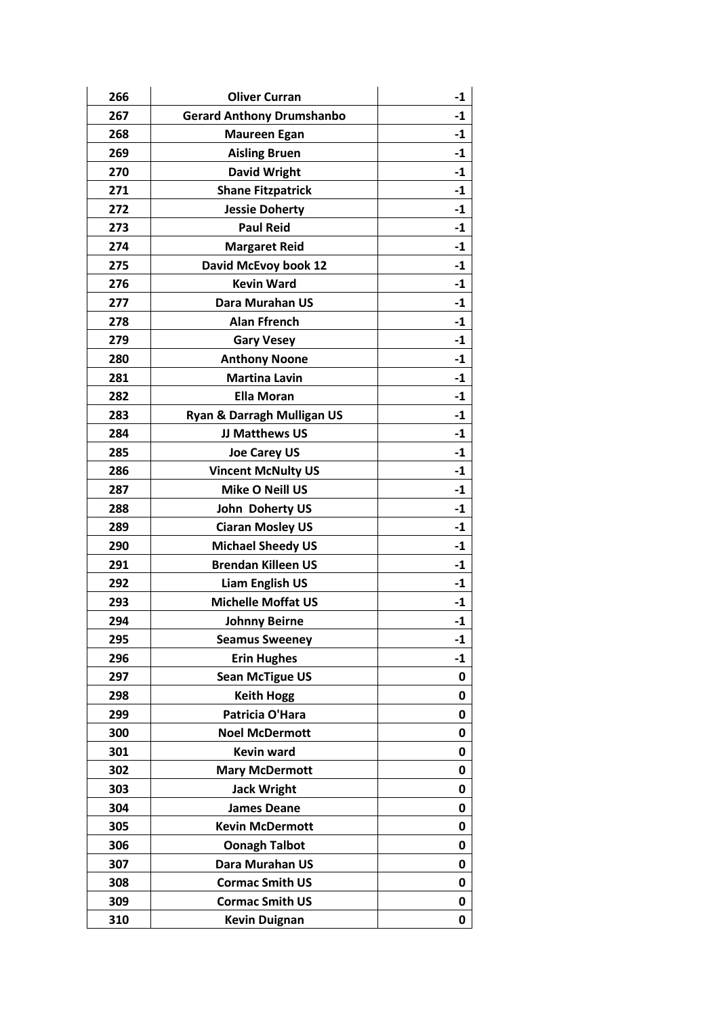| 266 | <b>Oliver Curran</b>             | $-1$ |
|-----|----------------------------------|------|
| 267 | <b>Gerard Anthony Drumshanbo</b> | $-1$ |
| 268 | <b>Maureen Egan</b>              | $-1$ |
| 269 | <b>Aisling Bruen</b>             | -1   |
| 270 | <b>David Wright</b>              | $-1$ |
| 271 | <b>Shane Fitzpatrick</b>         | $-1$ |
| 272 | <b>Jessie Doherty</b>            | $-1$ |
| 273 | <b>Paul Reid</b>                 | $-1$ |
| 274 | <b>Margaret Reid</b>             | $-1$ |
| 275 | David McEvoy book 12             | -1   |
| 276 | <b>Kevin Ward</b>                | $-1$ |
| 277 | Dara Murahan US                  | $-1$ |
| 278 | <b>Alan Ffrench</b>              | $-1$ |
| 279 | <b>Gary Vesey</b>                | $-1$ |
| 280 | <b>Anthony Noone</b>             | $-1$ |
| 281 | <b>Martina Lavin</b>             | $-1$ |
| 282 | <b>Ella Moran</b>                | $-1$ |
| 283 | Ryan & Darragh Mulligan US       | $-1$ |
| 284 | JJ Matthews US                   | $-1$ |
| 285 | <b>Joe Carey US</b>              | $-1$ |
| 286 | <b>Vincent McNulty US</b>        | -1   |
| 287 | Mike O Neill US                  | $-1$ |
| 288 | John Doherty US                  | $-1$ |
| 289 | <b>Ciaran Mosley US</b>          | -1   |
| 290 | <b>Michael Sheedy US</b>         | $-1$ |
| 291 | <b>Brendan Killeen US</b>        | $-1$ |
| 292 | <b>Liam English US</b>           | $-1$ |
| 293 | <b>Michelle Moffat US</b>        | $-1$ |
| 294 | <b>Johnny Beirne</b>             | $-1$ |
| 295 | <b>Seamus Sweeney</b>            | $-1$ |
| 296 | <b>Erin Hughes</b>               | $-1$ |
| 297 | <b>Sean McTigue US</b>           | 0    |
| 298 | <b>Keith Hogg</b>                | 0    |
| 299 | Patricia O'Hara                  | 0    |
| 300 | <b>Noel McDermott</b>            | 0    |
| 301 | <b>Kevin ward</b>                | 0    |
| 302 | <b>Mary McDermott</b>            | 0    |
| 303 | <b>Jack Wright</b>               | 0    |
| 304 | <b>James Deane</b>               | 0    |
| 305 | <b>Kevin McDermott</b>           | 0    |
| 306 | <b>Oonagh Talbot</b>             | 0    |
| 307 | Dara Murahan US                  | 0    |
| 308 | <b>Cormac Smith US</b>           | 0    |
| 309 | <b>Cormac Smith US</b>           | 0    |
| 310 | <b>Kevin Duignan</b>             | 0    |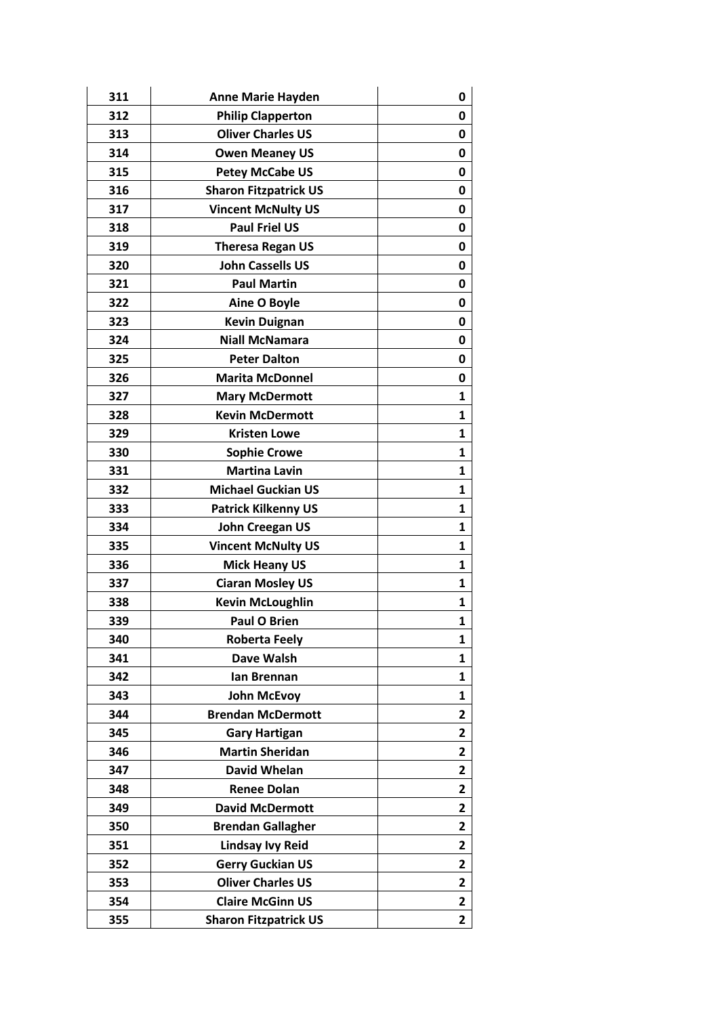| 311 | <b>Anne Marie Hayden</b>     | 0              |
|-----|------------------------------|----------------|
| 312 | <b>Philip Clapperton</b>     | 0              |
| 313 | <b>Oliver Charles US</b>     | 0              |
| 314 | <b>Owen Meaney US</b>        | 0              |
| 315 | <b>Petey McCabe US</b>       | 0              |
| 316 | <b>Sharon Fitzpatrick US</b> | 0              |
| 317 | <b>Vincent McNulty US</b>    | 0              |
| 318 | <b>Paul Friel US</b>         | 0              |
| 319 | <b>Theresa Regan US</b>      | 0              |
| 320 | <b>John Cassells US</b>      | 0              |
| 321 | <b>Paul Martin</b>           | 0              |
| 322 | <b>Aine O Boyle</b>          | 0              |
| 323 | <b>Kevin Duignan</b>         | 0              |
| 324 | <b>Niall McNamara</b>        | 0              |
| 325 | <b>Peter Dalton</b>          | 0              |
| 326 | <b>Marita McDonnel</b>       | 0              |
| 327 | <b>Mary McDermott</b>        | $\mathbf{1}$   |
| 328 | <b>Kevin McDermott</b>       | 1              |
| 329 | <b>Kristen Lowe</b>          | $\mathbf{1}$   |
| 330 | <b>Sophie Crowe</b>          | 1              |
| 331 | <b>Martina Lavin</b>         | 1              |
| 332 | <b>Michael Guckian US</b>    | 1              |
| 333 | <b>Patrick Kilkenny US</b>   | 1              |
| 334 | <b>John Creegan US</b>       | 1              |
| 335 | <b>Vincent McNulty US</b>    | 1              |
| 336 | <b>Mick Heany US</b>         | $\mathbf{1}$   |
| 337 | <b>Ciaran Mosley US</b>      | 1              |
| 338 | <b>Kevin McLoughlin</b>      | 1              |
| 339 | <b>Paul O Brien</b>          | $\mathbf{1}$   |
| 340 | <b>Roberta Feely</b>         | 1              |
| 341 | Dave Walsh                   | 1              |
| 342 | lan Brennan                  | 1              |
| 343 | <b>John McEvoy</b>           | 1              |
| 344 | <b>Brendan McDermott</b>     | $\overline{2}$ |
| 345 | <b>Gary Hartigan</b>         | $\overline{2}$ |
| 346 | <b>Martin Sheridan</b>       | $\overline{2}$ |
| 347 | David Whelan                 | 2              |
| 348 | <b>Renee Dolan</b>           | 2              |
| 349 | <b>David McDermott</b>       | 2              |
| 350 | <b>Brendan Gallagher</b>     | $\mathbf{2}$   |
| 351 | <b>Lindsay Ivy Reid</b>      | $\overline{2}$ |
| 352 | <b>Gerry Guckian US</b>      | 2              |
| 353 | <b>Oliver Charles US</b>     | 2              |
| 354 | <b>Claire McGinn US</b>      | 2              |
| 355 | <b>Sharon Fitzpatrick US</b> | $\overline{2}$ |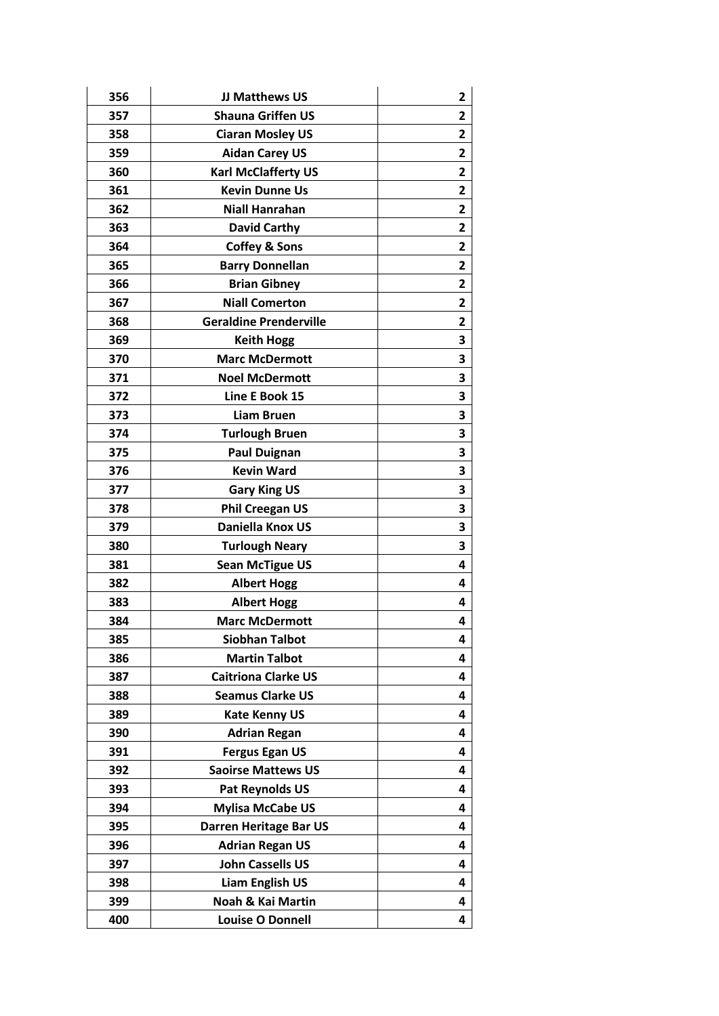| 356 | JJ Matthews US                | 2                       |
|-----|-------------------------------|-------------------------|
| 357 | <b>Shauna Griffen US</b>      | 2                       |
| 358 | <b>Ciaran Mosley US</b>       | 2                       |
| 359 | <b>Aidan Carey US</b>         | $\mathbf{2}$            |
| 360 | <b>Karl McClafferty US</b>    | 2                       |
| 361 | <b>Kevin Dunne Us</b>         | $\overline{2}$          |
| 362 | <b>Niall Hanrahan</b>         | $\overline{\mathbf{2}}$ |
| 363 | <b>David Carthy</b>           | $\mathbf{2}$            |
| 364 | <b>Coffey &amp; Sons</b>      | $\mathbf{2}$            |
| 365 | <b>Barry Donnellan</b>        | 2                       |
| 366 | <b>Brian Gibney</b>           | 2                       |
| 367 | <b>Niall Comerton</b>         | $\overline{2}$          |
| 368 | <b>Geraldine Prenderville</b> | 2                       |
| 369 | <b>Keith Hogg</b>             | 3                       |
| 370 | <b>Marc McDermott</b>         | 3                       |
| 371 | <b>Noel McDermott</b>         | 3                       |
| 372 | Line E Book 15                | 3                       |
| 373 | <b>Liam Bruen</b>             | 3                       |
| 374 | <b>Turlough Bruen</b>         | 3                       |
| 375 | <b>Paul Duignan</b>           | 3                       |
| 376 | <b>Kevin Ward</b>             | 3                       |
| 377 | <b>Gary King US</b>           | 3                       |
| 378 | <b>Phil Creegan US</b>        | 3                       |
| 379 | Daniella Knox US              | 3                       |
| 380 | <b>Turlough Neary</b>         | 3                       |
| 381 | <b>Sean McTigue US</b>        | 4                       |
| 382 | <b>Albert Hogg</b>            | 4                       |
| 383 | <b>Albert Hogg</b>            | 4                       |
| 384 | <b>Marc McDermott</b>         | 4                       |
| 385 | <b>Siobhan Talbot</b>         | 4                       |
| 386 | <b>Martin Talbot</b>          | 4                       |
| 387 | <b>Caitriona Clarke US</b>    | 4                       |
| 388 | <b>Seamus Clarke US</b>       | 4                       |
| 389 | <b>Kate Kenny US</b>          | 4                       |
| 390 | <b>Adrian Regan</b>           | 4                       |
| 391 | <b>Fergus Egan US</b>         | 4                       |
| 392 | <b>Saoirse Mattews US</b>     | 4                       |
| 393 | Pat Reynolds US               | 4                       |
| 394 | <b>Mylisa McCabe US</b>       | 4                       |
| 395 | <b>Darren Heritage Bar US</b> | 4                       |
| 396 | <b>Adrian Regan US</b>        | 4                       |
| 397 | <b>John Cassells US</b>       | 4                       |
| 398 | <b>Liam English US</b>        | 4                       |
| 399 | Noah & Kai Martin             | 4                       |
| 400 | <b>Louise O Donnell</b>       | 4                       |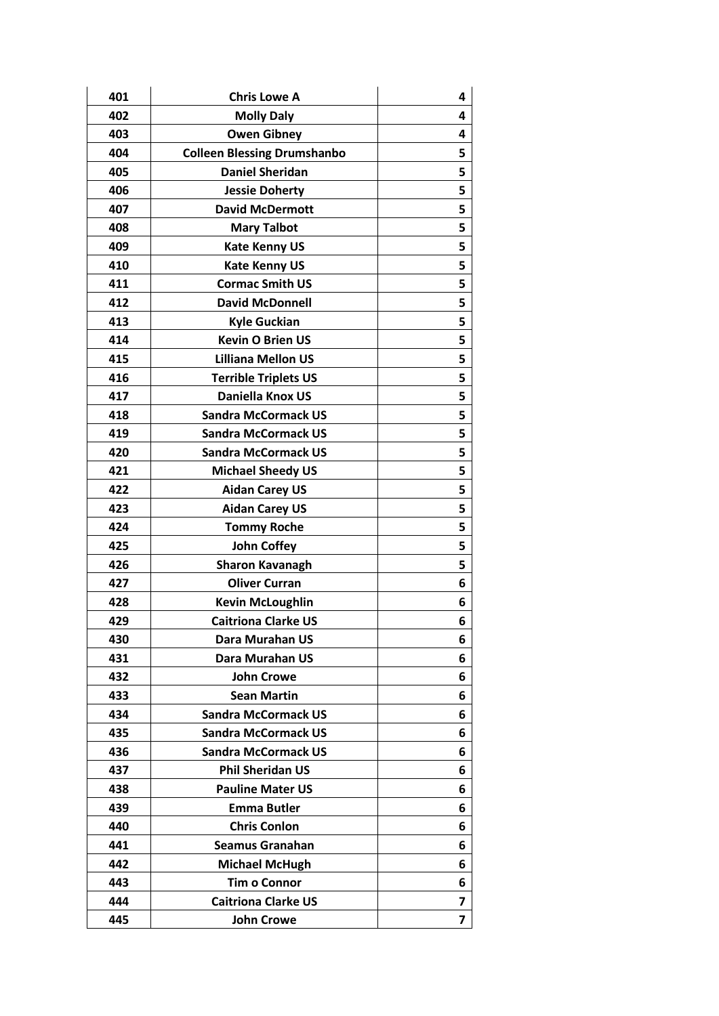| 401 | <b>Chris Lowe A</b>                | 4 |
|-----|------------------------------------|---|
| 402 | <b>Molly Daly</b>                  | 4 |
| 403 | <b>Owen Gibney</b>                 | 4 |
| 404 | <b>Colleen Blessing Drumshanbo</b> | 5 |
| 405 | <b>Daniel Sheridan</b>             | 5 |
| 406 | <b>Jessie Doherty</b>              | 5 |
| 407 | <b>David McDermott</b>             | 5 |
| 408 | <b>Mary Talbot</b>                 | 5 |
| 409 | <b>Kate Kenny US</b>               | 5 |
| 410 | <b>Kate Kenny US</b>               | 5 |
| 411 | <b>Cormac Smith US</b>             | 5 |
| 412 | <b>David McDonnell</b>             | 5 |
| 413 | <b>Kyle Guckian</b>                | 5 |
| 414 | <b>Kevin O Brien US</b>            | 5 |
| 415 | <b>Lilliana Mellon US</b>          | 5 |
| 416 | <b>Terrible Triplets US</b>        | 5 |
| 417 | Daniella Knox US                   | 5 |
| 418 | <b>Sandra McCormack US</b>         | 5 |
| 419 | <b>Sandra McCormack US</b>         | 5 |
| 420 | <b>Sandra McCormack US</b>         | 5 |
| 421 | <b>Michael Sheedy US</b>           | 5 |
| 422 | <b>Aidan Carey US</b>              | 5 |
| 423 | <b>Aidan Carey US</b>              | 5 |
| 424 | <b>Tommy Roche</b>                 | 5 |
| 425 | <b>John Coffey</b>                 | 5 |
| 426 | <b>Sharon Kavanagh</b>             | 5 |
| 427 | <b>Oliver Curran</b>               | 6 |
| 428 | <b>Kevin McLoughlin</b>            | 6 |
| 429 | <b>Caitriona Clarke US</b>         | 6 |
| 430 | Dara Murahan US                    | 6 |
| 431 | Dara Murahan US                    | 6 |
| 432 | <b>John Crowe</b>                  | 6 |
| 433 | <b>Sean Martin</b>                 | 6 |
| 434 | <b>Sandra McCormack US</b>         | 6 |
| 435 | <b>Sandra McCormack US</b>         | 6 |
| 436 | <b>Sandra McCormack US</b>         | 6 |
| 437 | <b>Phil Sheridan US</b>            | 6 |
| 438 | <b>Pauline Mater US</b>            | 6 |
| 439 | <b>Emma Butler</b>                 | 6 |
| 440 | <b>Chris Conlon</b>                | 6 |
| 441 | <b>Seamus Granahan</b>             | 6 |
| 442 | <b>Michael McHugh</b>              | 6 |
| 443 | <b>Tim o Connor</b>                | 6 |
| 444 | <b>Caitriona Clarke US</b>         | 7 |
| 445 | <b>John Crowe</b>                  | 7 |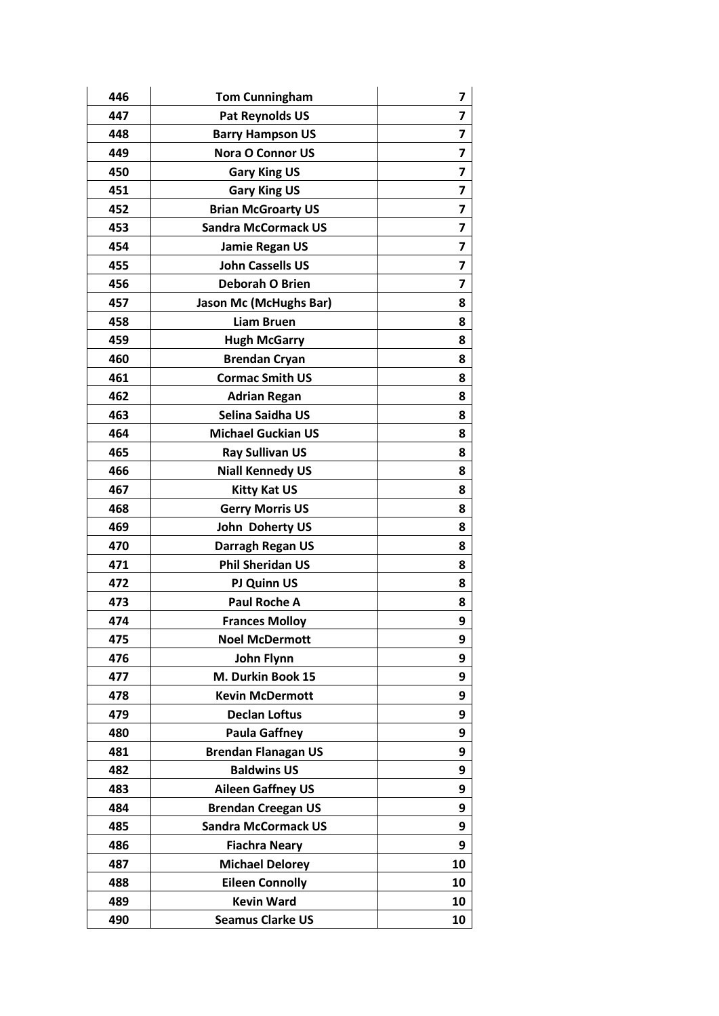| 446 | <b>Tom Cunningham</b>         | 7                       |
|-----|-------------------------------|-------------------------|
| 447 | Pat Reynolds US               | 7                       |
| 448 | <b>Barry Hampson US</b>       | 7                       |
| 449 | <b>Nora O Connor US</b>       | 7                       |
| 450 | <b>Gary King US</b>           | 7                       |
| 451 | <b>Gary King US</b>           | 7                       |
| 452 | <b>Brian McGroarty US</b>     | 7                       |
| 453 | <b>Sandra McCormack US</b>    | $\overline{\mathbf{z}}$ |
| 454 | <b>Jamie Regan US</b>         | 7                       |
| 455 | <b>John Cassells US</b>       | 7                       |
| 456 | Deborah O Brien               | $\overline{\mathbf{z}}$ |
| 457 | <b>Jason Mc (McHughs Bar)</b> | 8                       |
| 458 | <b>Liam Bruen</b>             | 8                       |
| 459 | <b>Hugh McGarry</b>           | 8                       |
| 460 | <b>Brendan Cryan</b>          | 8                       |
| 461 | <b>Cormac Smith US</b>        | 8                       |
| 462 | <b>Adrian Regan</b>           | 8                       |
| 463 | Selina Saidha US              | 8                       |
| 464 | <b>Michael Guckian US</b>     | 8                       |
| 465 | <b>Ray Sullivan US</b>        | 8                       |
| 466 | <b>Niall Kennedy US</b>       | 8                       |
| 467 | <b>Kitty Kat US</b>           | 8                       |
| 468 | <b>Gerry Morris US</b>        | 8                       |
| 469 | John Doherty US               | 8                       |
| 470 | Darragh Regan US              | 8                       |
| 471 | <b>Phil Sheridan US</b>       | 8                       |
| 472 | PJ Quinn US                   | 8                       |
| 473 | <b>Paul Roche A</b>           | 8                       |
| 474 | <b>Frances Molloy</b>         | 9                       |
| 475 | <b>Noel McDermott</b>         | 9                       |
| 476 | <b>John Flynn</b>             | 9                       |
| 477 | M. Durkin Book 15             | 9                       |
| 478 | <b>Kevin McDermott</b>        | 9                       |
| 479 | <b>Declan Loftus</b>          | 9                       |
| 480 | <b>Paula Gaffney</b>          | 9                       |
| 481 | <b>Brendan Flanagan US</b>    | 9                       |
| 482 | <b>Baldwins US</b>            | 9                       |
| 483 | <b>Aileen Gaffney US</b>      | 9                       |
| 484 | <b>Brendan Creegan US</b>     | 9                       |
| 485 | <b>Sandra McCormack US</b>    | 9                       |
| 486 | <b>Fiachra Neary</b>          | 9                       |
| 487 | <b>Michael Delorey</b>        | 10                      |
| 488 | <b>Eileen Connolly</b>        | 10                      |
| 489 | <b>Kevin Ward</b>             | 10                      |
| 490 | <b>Seamus Clarke US</b>       | 10                      |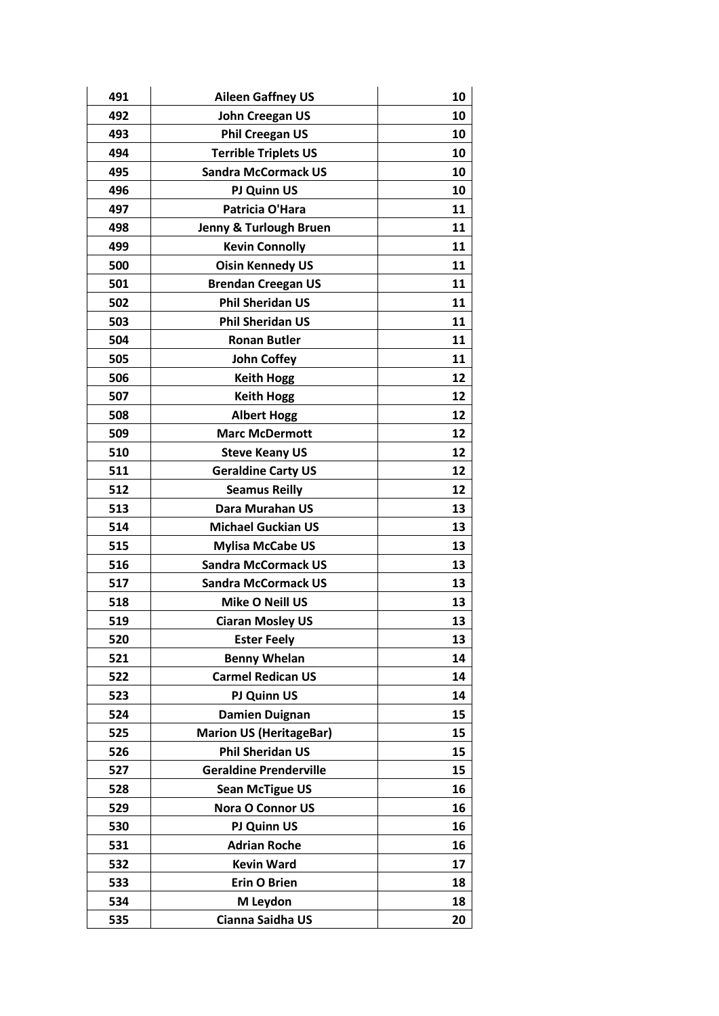| 491 | <b>Aileen Gaffney US</b>       | 10 |
|-----|--------------------------------|----|
| 492 | <b>John Creegan US</b>         | 10 |
| 493 | <b>Phil Creegan US</b>         | 10 |
| 494 | <b>Terrible Triplets US</b>    | 10 |
| 495 | <b>Sandra McCormack US</b>     | 10 |
| 496 | PJ Quinn US                    | 10 |
| 497 | Patricia O'Hara                | 11 |
| 498 | Jenny & Turlough Bruen         | 11 |
| 499 | <b>Kevin Connolly</b>          | 11 |
| 500 | <b>Oisin Kennedy US</b>        | 11 |
| 501 | <b>Brendan Creegan US</b>      | 11 |
| 502 | <b>Phil Sheridan US</b>        | 11 |
| 503 | <b>Phil Sheridan US</b>        | 11 |
| 504 | <b>Ronan Butler</b>            | 11 |
| 505 | <b>John Coffey</b>             | 11 |
| 506 | <b>Keith Hogg</b>              | 12 |
| 507 | <b>Keith Hogg</b>              | 12 |
| 508 | <b>Albert Hogg</b>             | 12 |
| 509 | <b>Marc McDermott</b>          | 12 |
| 510 | <b>Steve Keany US</b>          | 12 |
| 511 | <b>Geraldine Carty US</b>      | 12 |
| 512 | <b>Seamus Reilly</b>           | 12 |
| 513 | Dara Murahan US                | 13 |
| 514 | <b>Michael Guckian US</b>      | 13 |
| 515 | <b>Mylisa McCabe US</b>        | 13 |
| 516 | <b>Sandra McCormack US</b>     | 13 |
| 517 | <b>Sandra McCormack US</b>     | 13 |
| 518 | Mike O Neill US                | 13 |
| 519 | <b>Ciaran Mosley US</b>        | 13 |
| 520 | <b>Ester Feely</b>             | 13 |
| 521 | <b>Benny Whelan</b>            | 14 |
| 522 | <b>Carmel Redican US</b>       | 14 |
| 523 | PJ Quinn US                    | 14 |
| 524 | <b>Damien Duignan</b>          | 15 |
| 525 | <b>Marion US (HeritageBar)</b> | 15 |
| 526 | <b>Phil Sheridan US</b>        | 15 |
| 527 | <b>Geraldine Prenderville</b>  | 15 |
| 528 | <b>Sean McTigue US</b>         | 16 |
| 529 | <b>Nora O Connor US</b>        | 16 |
| 530 | PJ Quinn US                    | 16 |
| 531 | <b>Adrian Roche</b>            | 16 |
| 532 | <b>Kevin Ward</b>              | 17 |
| 533 | <b>Erin O Brien</b>            | 18 |
| 534 | M Leydon                       | 18 |
| 535 | Cianna Saidha US               | 20 |